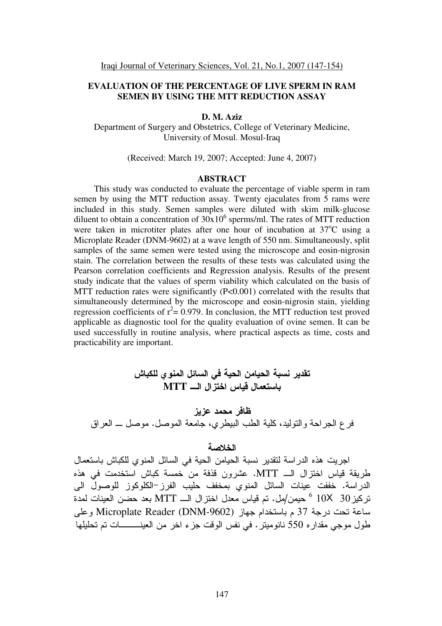# **EVALUATION OF THE PERCENTAGE OF LIVE SPERM IN RAM SEMEN BY USING THE MTT REDUCTION ASSAY**

#### **D. M. Aziz**

Department of Surgery and Obstetrics, College of Veterinary Medicine, University of Mosul. Mosul-Iraq

(Received: March 19, 2007; Accepted: June 4, 2007)

#### **ABSTRACT**

This study was conducted to evaluate the percentage of viable sperm in ram semen by using the MTT reduction assay. Twenty ejaculates from 5 rams were included in this study. Semen samples were diluted with skim milk-glucose diluent to obtain a concentration of  $30x10^6$  sperms/ml. The rates of MTT reduction were taken in microtiter plates after one hour of incubation at  $37^{\circ}$ C using a Microplate Reader (DNM-9602) at a wave length of 550 nm. Simultaneously, split samples of the same semen were tested using the microscope and eosin-nigrosin stain. The correlation between the results of these tests was calculated using the Pearson correlation coefficients and Regression analysis. Results of the present study indicate that the values of sperm viability which calculated on the basis of MTT reduction rates were significantly (P<0.001) correlated with the results that simultaneously determined by the microscope and eosin-nigrosin stain, yielding regression coefficients of  $r^2 = 0.979$ . In conclusion, the MTT reduction test proved applicable as diagnostic tool for the quality evaluation of ovine semen. It can be used successfully in routine analysis, where practical aspects as time, costs and practicability are important.

تقدير نسبة الحيامن الحية في السائل المنو ي للكباش باستعمال قياس اختز<sup>ّ</sup>ال الـــ MTT ظافر محمد عزيز فر ع الـجراحـة والنوليد، كلية الطب البيطري، جامعة الموصل. موصل ـــ الـعراق

## الخلاصة

اجريت هذه الدر اسة لتقدير نسبة الحيامن الحية في السائل المنوي للكباش باستعمال طريقة قياس اختزال الـــ MTT. عشرون قذفة من خمسة كباش استخدمت في هذه الدراسة. خففت عينات السائل المنوي بمخفف حليب الفرز–الكلوكوز للوصول الى تركُّيز 30  $10$   $^{6}$  حيمن/مل. تم قياس معدل اختزال الــــ MTT بعد حضَّن العينات لمدة ساعة تحت درجة 37 م باستخدام جهاز Microplate Reader (DNM-9602) وعلى طول موجي مقدار ه 550 نانوميتر . في نفس الوقت جزء اخر من العينـــــــــات تم تحليلها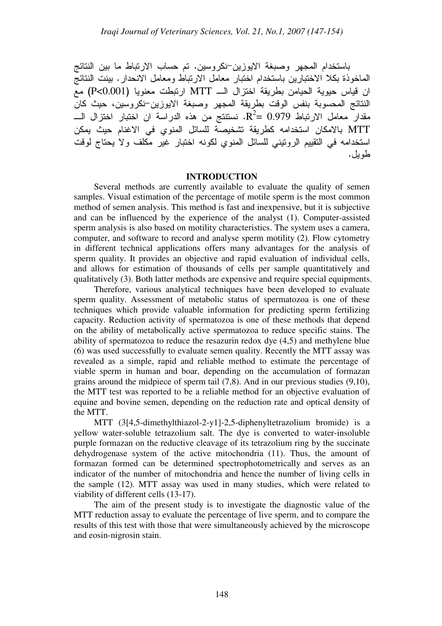باستخدام المجهر وصبغة الايوزين–نكروسين. تم حساب الارتباط ما بين النتائج الماخوذة بكلا الاختبارين باستخدام اختبار معامل الارتباط ومعامل الانحدار . بينت النتائج ان قياس حيوية الحيامن بطريقة اختزال الـــ MTT ارتبطت معنويا (P<0.001) مع النتائج المحسوبة بنفس الوقت بطريقة المجهر وصبغة الايوزين–نكروسين، حيث كان مقدار معامل الارتباط R $^2$ =  $\rm 0.979$ . نستتتج من هذه الدراسة ان اختبار اختزال الــــ MTT بالامكان استخدامه كطريقة تشخيصة للسائل المنوي في الاغنام حيث يمكن استخدامه في النقييم الرونيني للسائل المنوي لكونه اختبار غير مكلف ولا يحتاج لوقت طو بل.

## **INTRODUCTION**

Several methods are currently available to evaluate the quality of semen samples. Visual estimation of the percentage of motile sperm is the most common method of semen analysis. This method is fast and inexpensive, but it is subjective and can be influenced by the experience of the analyst (1). Computer-assisted sperm analysis is also based on motility characteristics. The system uses a camera, computer, and software to record and analyse sperm motility (2). Flow cytometry in different technical applications offers many advantages for the analysis of sperm quality. It provides an objective and rapid evaluation of individual cells, and allows for estimation of thousands of cells per sample quantitatively and qualitatively (3). Both latter methods are expensive and require special equipments.

Therefore, various analytical techniques have been developed to evaluate sperm quality. Assessment of metabolic status of spermatozoa is one of these techniques which provide valuable information for predicting sperm fertilizing capacity. Reduction activity of spermatozoa is one of these methods that depend on the ability of metabolically active spermatozoa to reduce specific stains. The ability of spermatozoa to reduce the resazurin redox dye (4,5) and methylene blue (6) was used successfully to evaluate semen quality. Recently the MTT assay was revealed as a simple, rapid and reliable method to estimate the percentage of viable sperm in human and boar, depending on the accumulation of formazan grains around the midpiece of sperm tail (7,8). And in our previous studies (9,10), the MTT test was reported to be a reliable method for an objective evaluation of equine and bovine semen, depending on the reduction rate and optical density of the MTT.

MTT (3[4,5-dimethylthiazol-2-y1]-2,5-diphenyltetrazolium bromide) is a yellow water-soluble tetrazolium salt. The dye is converted to water-insoluble purple formazan on the reductive cleavage of its tetrazolium ring by the succinate dehydrogenase system of the active mitochondria (11). Thus, the amount of formazan formed can be determined spectrophotometrically and serves as an indicator of the number of mitochondria and hence the number of living cells in the sample (12). MTT assay was used in many studies, which were related to viability of different cells (13-17).

The aim of the present study is to investigate the diagnostic value of the MTT reduction assay to evaluate the percentage of live sperm, and to compare the results of this test with those that were simultaneously achieved by the microscope and eosin-nigrosin stain.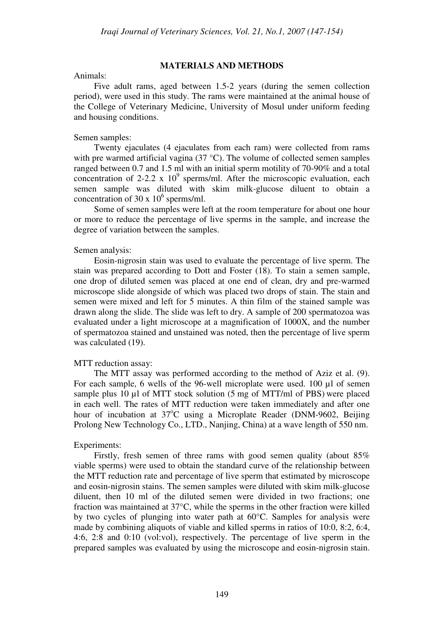### **MATERIALS AND METHODS**

#### Animals:

Five adult rams, aged between 1.5-2 years (during the semen collection period), were used in this study. The rams were maintained at the animal house of the College of Veterinary Medicine, University of Mosul under uniform feeding and housing conditions.

#### Semen samples:

Twenty ejaculates (4 ejaculates from each ram) were collected from rams with pre warmed artificial vagina (37 °C). The volume of collected semen samples ranged between 0.7 and 1.5 ml with an initial sperm motility of 70-90% and a total concentration of 2-2.2 x  $10^9$  sperms/ml. After the microscopic evaluation, each semen sample was diluted with skim milk-glucose diluent to obtain a concentration of 30 x  $10^6$  sperms/ml.

Some of semen samples were left at the room temperature for about one hour or more to reduce the percentage of live sperms in the sample, and increase the degree of variation between the samples.

#### Semen analysis:

Eosin-nigrosin stain was used to evaluate the percentage of live sperm. The stain was prepared according to Dott and Foster (18). To stain a semen sample, one drop of diluted semen was placed at one end of clean, dry and pre-warmed microscope slide alongside of which was placed two drops of stain. The stain and semen were mixed and left for 5 minutes. A thin film of the stained sample was drawn along the slide. The slide was left to dry. A sample of 200 spermatozoa was evaluated under a light microscope at a magnification of 1000X, and the number of spermatozoa stained and unstained was noted, then the percentage of live sperm was calculated (19).

### MTT reduction assay:

The MTT assay was performed according to the method of Aziz et al. (9). For each sample, 6 wells of the 96-well microplate were used. 100 µl of semen sample plus 10 µl of MTT stock solution (5 mg of MTT/ml of PBS) were placed in each well. The rates of MTT reduction were taken immediately and after one hour of incubation at 37<sup>o</sup>C using a Microplate Reader (DNM-9602, Beijing Prolong New Technology Co., LTD., Nanjing, China) at a wave length of 550 nm.

### Experiments:

Firstly, fresh semen of three rams with good semen quality (about 85% viable sperms) were used to obtain the standard curve of the relationship between the MTT reduction rate and percentage of live sperm that estimated by microscope and eosin-nigrosin stains. The semen samples were diluted with skim milk-glucose diluent, then 10 ml of the diluted semen were divided in two fractions; one fraction was maintained at 37°C, while the sperms in the other fraction were killed by two cycles of plunging into water path at 60°C. Samples for analysis were made by combining aliquots of viable and killed sperms in ratios of 10:0, 8:2, 6:4, 4:6, 2:8 and 0:10 (vol:vol), respectively. The percentage of live sperm in the prepared samples was evaluated by using the microscope and eosin-nigrosin stain.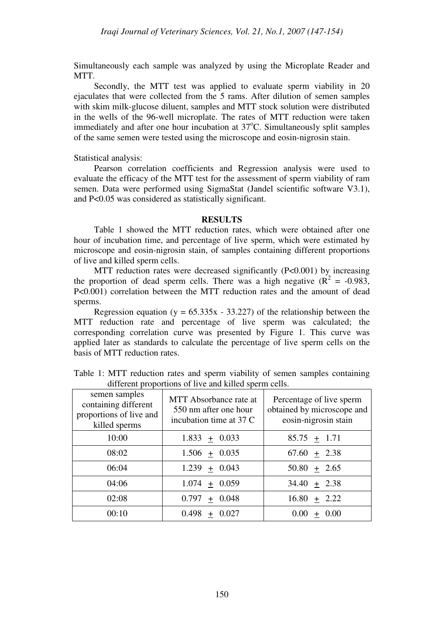Simultaneously each sample was analyzed by using the Microplate Reader and MTT.

Secondly, the MTT test was applied to evaluate sperm viability in 20 ejaculates that were collected from the 5 rams. After dilution of semen samples with skim milk-glucose diluent, samples and MTT stock solution were distributed in the wells of the 96-well microplate. The rates of MTT reduction were taken immediately and after one hour incubation at  $37^{\circ}$ C. Simultaneously split samples of the same semen were tested using the microscope and eosin-nigrosin stain.

Statistical analysis:

Pearson correlation coefficients and Regression analysis were used to evaluate the efficacy of the MTT test for the assessment of sperm viability of ram semen. Data were performed using SigmaStat (Jandel scientific software V3.1), and P<0.05 was considered as statistically significant.

## **RESULTS**

Table 1 showed the MTT reduction rates, which were obtained after one hour of incubation time, and percentage of live sperm, which were estimated by microscope and eosin-nigrosin stain, of samples containing different proportions of live and killed sperm cells.

MTT reduction rates were decreased significantly  $(P<0.001)$  by increasing the proportion of dead sperm cells. There was a high negative  $(R^2 = -0.983,$ P<0.001) correlation between the MTT reduction rates and the amount of dead sperms.

Regression equation (y =  $65.335x - 33.227$ ) of the relationship between the MTT reduction rate and percentage of live sperm was calculated; the corresponding correlation curve was presented by Figure 1. This curve was applied later as standards to calculate the percentage of live sperm cells on the basis of MTT reduction rates.

| semen samples<br>containing different<br>proportions of live and<br>killed sperms | MTT Absorbance rate at<br>550 nm after one hour<br>incubation time at 37 C | Percentage of live sperm<br>obtained by microscope and<br>eosin-nigrosin stain |
|-----------------------------------------------------------------------------------|----------------------------------------------------------------------------|--------------------------------------------------------------------------------|
| 10:00                                                                             | $1.833 \pm 0.033$                                                          | $85.75 \pm 1.71$                                                               |
| 08:02                                                                             | $1.506 \pm 0.035$                                                          | $67.60 + 2.38$                                                                 |
| 06:04                                                                             | $1.239 + 0.043$                                                            | $50.80 + 2.65$                                                                 |
| 04:06                                                                             | $1.074 \pm 0.059$                                                          | $34.40 + 2.38$                                                                 |
| 02:08                                                                             | $0.797 + 0.048$                                                            | $16.80 + 2.22$                                                                 |
| 00:10                                                                             | $0.498 + 0.027$                                                            | 0.00<br>0.00<br>$+$                                                            |

Table 1: MTT reduction rates and sperm viability of semen samples containing different proportions of live and killed sperm cells.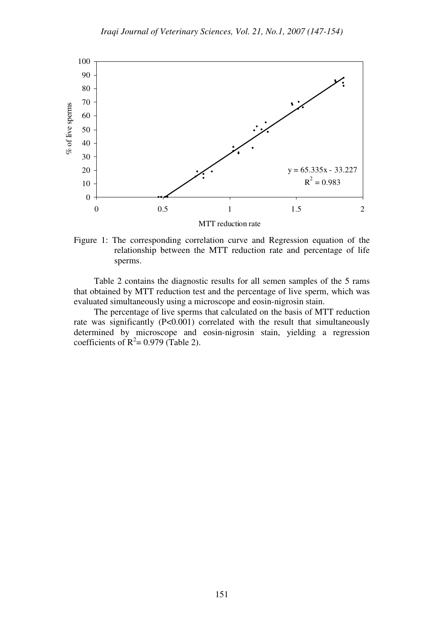

Figure 1: The corresponding correlation curve and Regression equation of the relationship between the MTT reduction rate and percentage of life sperms.

Table 2 contains the diagnostic results for all semen samples of the 5 rams that obtained by MTT reduction test and the percentage of live sperm, which was evaluated simultaneously using a microscope and eosin-nigrosin stain.

The percentage of live sperms that calculated on the basis of MTT reduction rate was significantly (P<0.001) correlated with the result that simultaneously determined by microscope and eosin-nigrosin stain, yielding a regression coefficients of  $R^2 = 0.979$  (Table 2).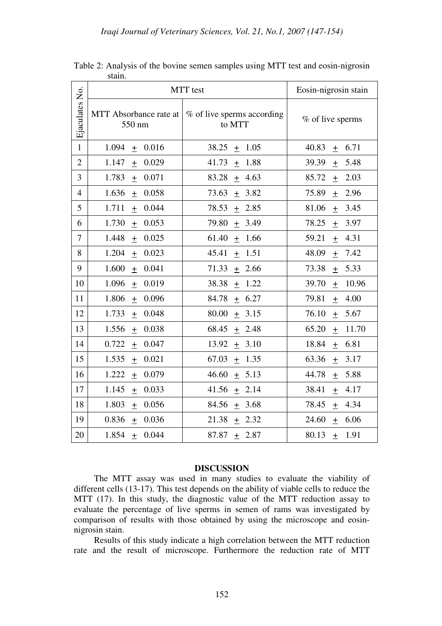|                | MTT test                         |                                      | Eosin-nigrosin stain             |
|----------------|----------------------------------|--------------------------------------|----------------------------------|
| Ejaculates No. | MTT Absorbance rate at<br>550 nm | % of live sperms according<br>to MTT | % of live sperms                 |
| $\mathbf{1}$   | 1.094                            | 38.25                                | 40.83                            |
|                | 0.016                            | 1.05                                 | 6.71                             |
|                | $\pm$                            | $\pm$                                | $+$                              |
| $\overline{2}$ | 1.147                            | 41.73                                | 39.39                            |
|                | 0.029                            | 1.88                                 | 5.48                             |
|                | $\! + \!$                        | $\boldsymbol{+}$                     | $\begin{array}{c} + \end{array}$ |
| 3              | 1.783                            | 83.28                                | 2.03                             |
|                | 0.071                            | 4.63                                 | 85.72                            |
|                | $\begin{array}{c} + \end{array}$ | $\pm$                                | $\pm$                            |
| $\overline{4}$ | 1.636                            | 73.63                                | 75.89                            |
|                | 0.058                            | 3.82                                 | 2.96                             |
|                | $\boldsymbol{+}$                 | $\boldsymbol{+}$                     | $+$                              |
| 5              | 0.044                            | 78.53                                | 81.06                            |
|                | 1.711                            | 2.85                                 | 3.45                             |
|                | $\pm$                            | $\pm$                                | $\pm$                            |
| 6              | 1.730                            | 79.80                                | 78.25                            |
|                | 0.053                            | 3.49                                 | 3.97                             |
|                | $\pm$                            | $\pm$                                | $\pm$                            |
| $\overline{7}$ | 1.448                            | 61.40                                | 59.21                            |
|                | 0.025                            | 1.66                                 | 4.31                             |
|                | $\begin{array}{c} + \end{array}$ | $\pm$                                | $\boldsymbol{+}$                 |
| 8              | 1.204                            | 1.51                                 | 48.09                            |
|                | 0.023                            | 45.41                                | 7.42                             |
|                | $\begin{array}{c} + \end{array}$ | $\boldsymbol{+}$                     | $\pm$                            |
| 9              | 1.600                            | 71.33                                | 73.38                            |
|                | 0.041                            | 2.66                                 | 5.33                             |
|                | $\pm$                            | $\pm$                                | $\pm$                            |
| 10             | 1.096                            | 38.38                                | 39.70                            |
|                | 0.019                            | 1.22                                 | 10.96                            |
|                | $\pm$                            | $\pm$                                | $\pm$                            |
| 11             | 0.096                            | 84.78                                | 79.81                            |
|                | 1.806                            | 6.27                                 | 4.00                             |
|                | $\begin{array}{c} + \end{array}$ | $\pm$                                | $\! + \!$                        |
| 12             | 1.733                            | 80.00                                | 76.10                            |
|                | 0.048                            | 3.15                                 | 5.67                             |
|                | $\pm$                            | $\pm$                                | $\boldsymbol{+}$                 |
| 13             | 1.556                            | 68.45                                | 65.20                            |
|                | 0.038                            | 2.48                                 | 11.70                            |
|                | $\pm$                            | $\pm$                                | $\pm$                            |
| 14             | 0.722                            | 13.92                                | 18.84                            |
|                | 0.047                            | 3.10                                 | 6.81                             |
|                | $\pm$                            | $\pm$                                | $\pm$                            |
| 15             | 1.535                            | 67.03                                | 63.36                            |
|                | 0.021                            | 1.35                                 | 3.17                             |
|                | $\pm$                            | $\pm$                                | $\pm$                            |
| 16             | 1.222                            | 46.60                                | 44.78                            |
|                | 0.079                            | 5.13                                 | 5.88                             |
|                | $\pm$                            | $\pm$                                | $\pm$                            |
| 17             | 1.145                            | 41.56                                | 38.41                            |
|                | 0.033                            | 2.14                                 | 4.17                             |
|                | $\pm$                            | $\pm$                                | $\pm$                            |
| 18             | 1.803                            | 84.56                                | 78.45                            |
|                | 0.056                            | 3.68                                 | 4.34                             |
|                | $\pm$                            | $\pm$                                | $+$                              |
| 19             | 0.836                            | 21.38                                | 6.06                             |
|                | 0.036                            | 2.32                                 | 24.60                            |
|                | $\! + \!$                        | $\pm$                                | $\boldsymbol{+}$                 |
| 20             | 0.044                            | 87.87                                | 80.13                            |
|                | 1.854                            | 2.87                                 | 1.91                             |
|                | $\pm$                            | $+$                                  | $+$                              |

Table 2: Analysis of the bovine semen samples using MTT test and eosin-nigrosin stain.

### **DISCUSSION**

The MTT assay was used in many studies to evaluate the viability of different cells (13-17). This test depends on the ability of viable cells to reduce the MTT (17). In this study, the diagnostic value of the MTT reduction assay to evaluate the percentage of live sperms in semen of rams was investigated by comparison of results with those obtained by using the microscope and eosinnigrosin stain.

Results of this study indicate a high correlation between the MTT reduction rate and the result of microscope. Furthermore the reduction rate of MTT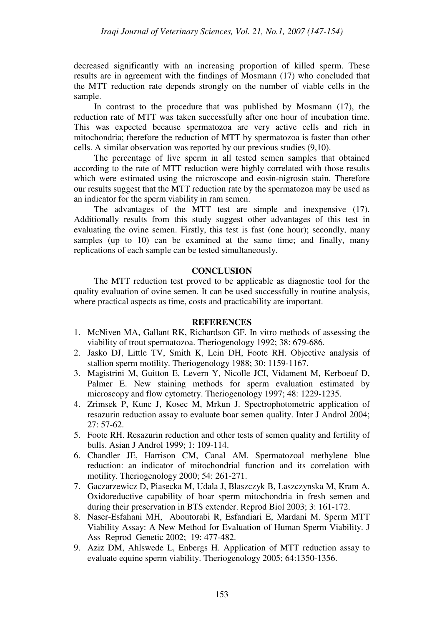decreased significantly with an increasing proportion of killed sperm. These results are in agreement with the findings of Mosmann (17) who concluded that the MTT reduction rate depends strongly on the number of viable cells in the sample.

In contrast to the procedure that was published by Mosmann (17), the reduction rate of MTT was taken successfully after one hour of incubation time. This was expected because spermatozoa are very active cells and rich in mitochondria; therefore the reduction of MTT by spermatozoa is faster than other cells. A similar observation was reported by our previous studies (9,10).

The percentage of live sperm in all tested semen samples that obtained according to the rate of MTT reduction were highly correlated with those results which were estimated using the microscope and eosin-nigrosin stain. Therefore our results suggest that the MTT reduction rate by the spermatozoa may be used as an indicator for the sperm viability in ram semen.

The advantages of the MTT test are simple and inexpensive (17). Additionally results from this study suggest other advantages of this test in evaluating the ovine semen. Firstly, this test is fast (one hour); secondly, many samples (up to 10) can be examined at the same time; and finally, many replications of each sample can be tested simultaneously.

# **CONCLUSION**

The MTT reduction test proved to be applicable as diagnostic tool for the quality evaluation of ovine semen. It can be used successfully in routine analysis, where practical aspects as time, costs and practicability are important.

### **REFERENCES**

- 1. McNiven MA, Gallant RK, Richardson GF. In vitro methods of assessing the viability of trout spermatozoa. Theriogenology 1992; 38: 679-686.
- 2. Jasko DJ, Little TV, Smith K, Lein DH, Foote RH. Objective analysis of stallion sperm motility. Theriogenology 1988; 30: 1159-1167.
- 3. Magistrini M, Guitton E, Levern Y, Nicolle JCI, Vidament M, Kerboeuf D, Palmer E. New staining methods for sperm evaluation estimated by microscopy and flow cytometry. Theriogenology 1997; 48: 1229-1235.
- 4. Zrimsek P, Kunc J, Kosec M, Mrkun J. Spectrophotometric application of resazurin reduction assay to evaluate boar semen quality. Inter J Androl 2004; 27: 57-62.
- 5. Foote RH. Resazurin reduction and other tests of semen quality and fertility of bulls. Asian J Androl 1999; 1: 109-114.
- 6. Chandler JE, Harrison CM, Canal AM. Spermatozoal methylene blue reduction: an indicator of mitochondrial function and its correlation with motility. Theriogenology 2000; 54: 261-271.
- 7. Gaczarzewicz D, Piasecka M, Udala J, Blaszczyk B, Laszczynska M, Kram A. Oxidoreductive capability of boar sperm mitochondria in fresh semen and during their preservation in BTS extender. Reprod Biol 2003; 3: 161-172.
- 8. Naser-Esfahani MH, Aboutorabi R, Esfandiari E, Mardani M. Sperm MTT Viability Assay: A New Method for Evaluation of Human Sperm Viability. J Ass Reprod Genetic 2002; 19: 477-482.
- 9. Aziz DM, Ahlswede L, Enbergs H. Application of MTT reduction assay to evaluate equine sperm viability. Theriogenology 2005; 64:1350-1356.